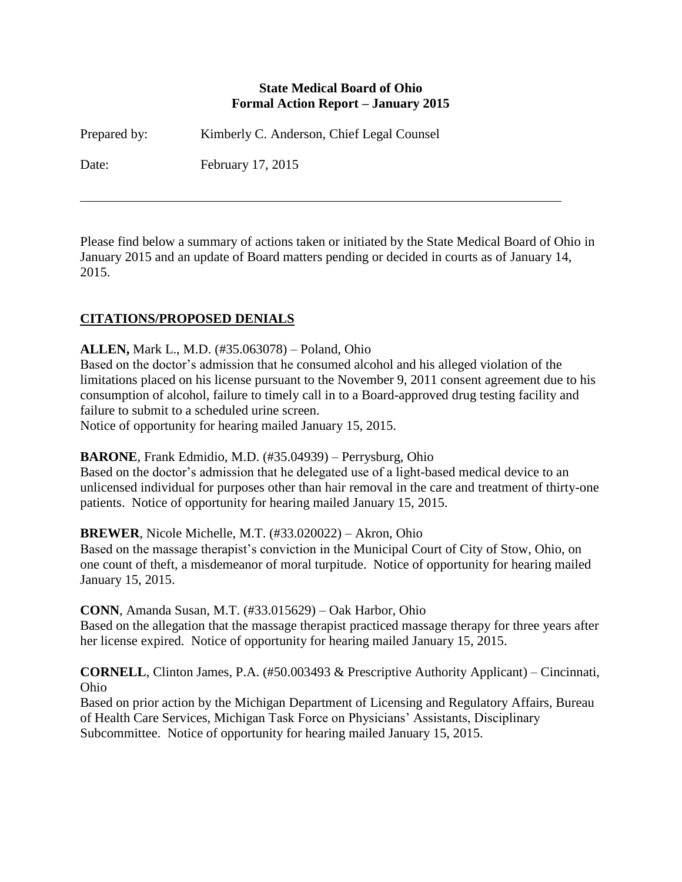#### **State Medical Board of Ohio Formal Action Report – January 2015**

Prepared by: Kimberly C. Anderson, Chief Legal Counsel

Date: February 17, 2015

Please find below a summary of actions taken or initiated by the State Medical Board of Ohio in January 2015 and an update of Board matters pending or decided in courts as of January 14, 2015.

# **CITATIONS/PROPOSED DENIALS**

### **ALLEN,** Mark L., M.D. (#35.063078) – Poland, Ohio

Based on the doctor's admission that he consumed alcohol and his alleged violation of the limitations placed on his license pursuant to the November 9, 2011 consent agreement due to his consumption of alcohol, failure to timely call in to a Board-approved drug testing facility and failure to submit to a scheduled urine screen.

Notice of opportunity for hearing mailed January 15, 2015.

**BARONE**, Frank Edmidio, M.D. (#35.04939) – Perrysburg, Ohio

Based on the doctor's admission that he delegated use of a light-based medical device to an unlicensed individual for purposes other than hair removal in the care and treatment of thirty-one patients. Notice of opportunity for hearing mailed January 15, 2015.

### **BREWER**, Nicole Michelle, M.T. (#33.020022) – Akron, Ohio

Based on the massage therapist's conviction in the Municipal Court of City of Stow, Ohio, on one count of theft, a misdemeanor of moral turpitude. Notice of opportunity for hearing mailed January 15, 2015.

**CONN**, Amanda Susan, M.T. (#33.015629) – Oak Harbor, Ohio

Based on the allegation that the massage therapist practiced massage therapy for three years after her license expired. Notice of opportunity for hearing mailed January 15, 2015.

**CORNELL**, Clinton James, P.A. (#50.003493 & Prescriptive Authority Applicant) – Cincinnati, Ohio

Based on prior action by the Michigan Department of Licensing and Regulatory Affairs, Bureau of Health Care Services, Michigan Task Force on Physicians' Assistants, Disciplinary Subcommittee. Notice of opportunity for hearing mailed January 15, 2015.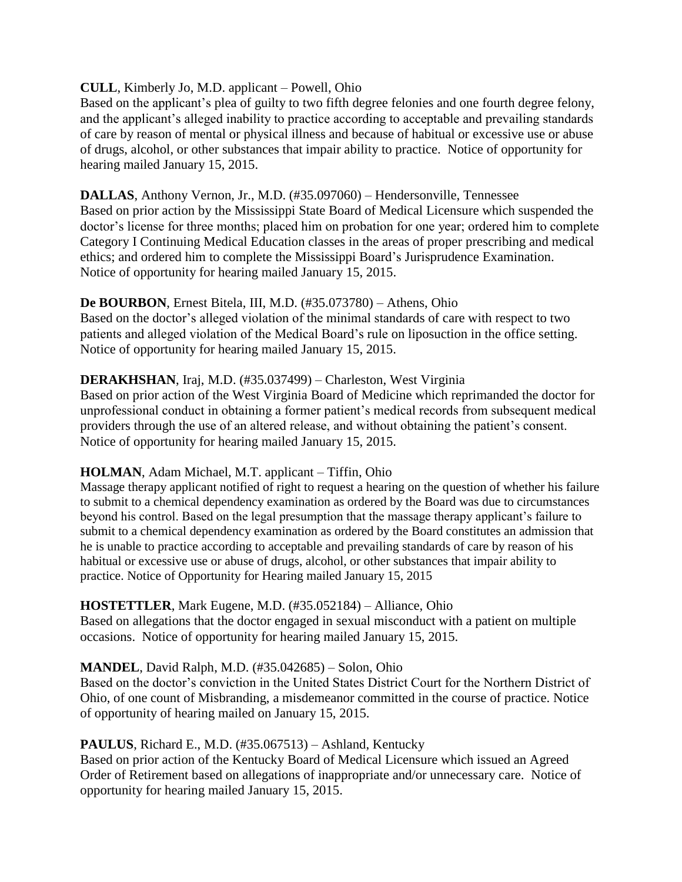#### **CULL**, Kimberly Jo, M.D. applicant – Powell, Ohio

Based on the applicant's plea of guilty to two fifth degree felonies and one fourth degree felony, and the applicant's alleged inability to practice according to acceptable and prevailing standards of care by reason of mental or physical illness and because of habitual or excessive use or abuse of drugs, alcohol, or other substances that impair ability to practice. Notice of opportunity for hearing mailed January 15, 2015.

#### **DALLAS**, Anthony Vernon, Jr., M.D. (#35.097060) – Hendersonville, Tennessee

Based on prior action by the Mississippi State Board of Medical Licensure which suspended the doctor's license for three months; placed him on probation for one year; ordered him to complete Category I Continuing Medical Education classes in the areas of proper prescribing and medical ethics; and ordered him to complete the Mississippi Board's Jurisprudence Examination. Notice of opportunity for hearing mailed January 15, 2015.

#### **De BOURBON**, Ernest Bitela, III, M.D. (#35.073780) – Athens, Ohio

Based on the doctor's alleged violation of the minimal standards of care with respect to two patients and alleged violation of the Medical Board's rule on liposuction in the office setting. Notice of opportunity for hearing mailed January 15, 2015.

### **DERAKHSHAN**, Iraj, M.D. (#35.037499) – Charleston, West Virginia

Based on prior action of the West Virginia Board of Medicine which reprimanded the doctor for unprofessional conduct in obtaining a former patient's medical records from subsequent medical providers through the use of an altered release, and without obtaining the patient's consent. Notice of opportunity for hearing mailed January 15, 2015.

### **HOLMAN**, Adam Michael, M.T. applicant – Tiffin, Ohio

Massage therapy applicant notified of right to request a hearing on the question of whether his failure to submit to a chemical dependency examination as ordered by the Board was due to circumstances beyond his control. Based on the legal presumption that the massage therapy applicant's failure to submit to a chemical dependency examination as ordered by the Board constitutes an admission that he is unable to practice according to acceptable and prevailing standards of care by reason of his habitual or excessive use or abuse of drugs, alcohol, or other substances that impair ability to practice. Notice of Opportunity for Hearing mailed January 15, 2015

### **HOSTETTLER**, Mark Eugene, M.D. (#35.052184) – Alliance, Ohio

Based on allegations that the doctor engaged in sexual misconduct with a patient on multiple occasions. Notice of opportunity for hearing mailed January 15, 2015.

### **MANDEL**, David Ralph, M.D. (#35.042685) – Solon, Ohio

Based on the doctor's conviction in the United States District Court for the Northern District of Ohio, of one count of Misbranding, a misdemeanor committed in the course of practice. Notice of opportunity of hearing mailed on January 15, 2015.

### **PAULUS**, Richard E., M.D. (#35.067513) – Ashland, Kentucky

Based on prior action of the Kentucky Board of Medical Licensure which issued an Agreed Order of Retirement based on allegations of inappropriate and/or unnecessary care. Notice of opportunity for hearing mailed January 15, 2015.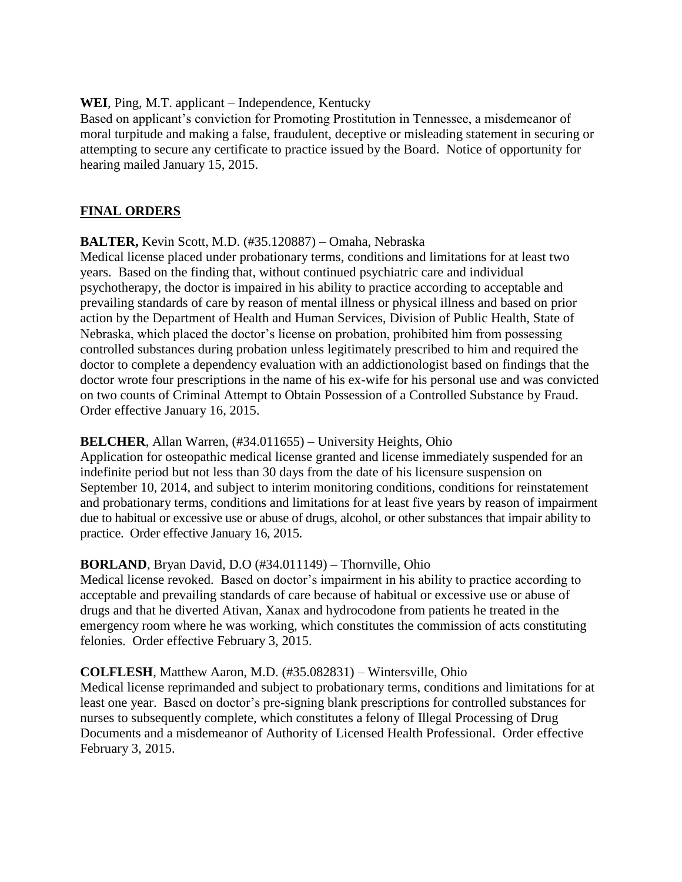#### **WEI**, Ping, M.T. applicant – Independence, Kentucky

Based on applicant's conviction for Promoting Prostitution in Tennessee, a misdemeanor of moral turpitude and making a false, fraudulent, deceptive or misleading statement in securing or attempting to secure any certificate to practice issued by the Board. Notice of opportunity for hearing mailed January 15, 2015.

## **FINAL ORDERS**

### **BALTER,** Kevin Scott, M.D. (#35.120887) – Omaha, Nebraska

Medical license placed under probationary terms, conditions and limitations for at least two years. Based on the finding that, without continued psychiatric care and individual psychotherapy, the doctor is impaired in his ability to practice according to acceptable and prevailing standards of care by reason of mental illness or physical illness and based on prior action by the Department of Health and Human Services, Division of Public Health, State of Nebraska, which placed the doctor's license on probation, prohibited him from possessing controlled substances during probation unless legitimately prescribed to him and required the doctor to complete a dependency evaluation with an addictionologist based on findings that the doctor wrote four prescriptions in the name of his ex-wife for his personal use and was convicted on two counts of Criminal Attempt to Obtain Possession of a Controlled Substance by Fraud. Order effective January 16, 2015.

### **BELCHER**, Allan Warren, (#34.011655) – University Heights, Ohio

Application for osteopathic medical license granted and license immediately suspended for an indefinite period but not less than 30 days from the date of his licensure suspension on September 10, 2014, and subject to interim monitoring conditions, conditions for reinstatement and probationary terms, conditions and limitations for at least five years by reason of impairment due to habitual or excessive use or abuse of drugs, alcohol, or other substances that impair ability to practice. Order effective January 16, 2015.

### **BORLAND**, Bryan David, D.O (#34.011149) – Thornville, Ohio

Medical license revoked. Based on doctor's impairment in his ability to practice according to acceptable and prevailing standards of care because of habitual or excessive use or abuse of drugs and that he diverted Ativan, Xanax and hydrocodone from patients he treated in the emergency room where he was working, which constitutes the commission of acts constituting felonies. Order effective February 3, 2015.

### **COLFLESH**, Matthew Aaron, M.D. (#35.082831) – Wintersville, Ohio

Medical license reprimanded and subject to probationary terms, conditions and limitations for at least one year. Based on doctor's pre-signing blank prescriptions for controlled substances for nurses to subsequently complete, which constitutes a felony of Illegal Processing of Drug Documents and a misdemeanor of Authority of Licensed Health Professional. Order effective February 3, 2015.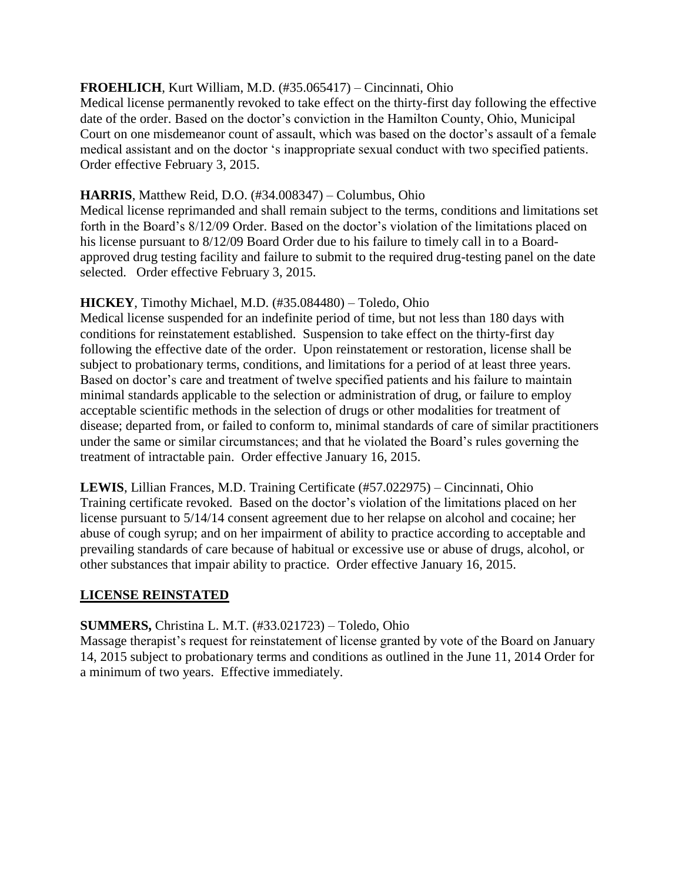### **FROEHLICH**, Kurt William, M.D. (#35.065417) – Cincinnati, Ohio

Medical license permanently revoked to take effect on the thirty-first day following the effective date of the order. Based on the doctor's conviction in the Hamilton County, Ohio, Municipal Court on one misdemeanor count of assault, which was based on the doctor's assault of a female medical assistant and on the doctor 's inappropriate sexual conduct with two specified patients. Order effective February 3, 2015.

### **HARRIS**, Matthew Reid, D.O. (#34.008347) – Columbus, Ohio

Medical license reprimanded and shall remain subject to the terms, conditions and limitations set forth in the Board's 8/12/09 Order. Based on the doctor's violation of the limitations placed on his license pursuant to 8/12/09 Board Order due to his failure to timely call in to a Boardapproved drug testing facility and failure to submit to the required drug-testing panel on the date selected. Order effective February 3, 2015.

### **HICKEY**, Timothy Michael, M.D. (#35.084480) – Toledo, Ohio

Medical license suspended for an indefinite period of time, but not less than 180 days with conditions for reinstatement established. Suspension to take effect on the thirty-first day following the effective date of the order. Upon reinstatement or restoration, license shall be subject to probationary terms, conditions, and limitations for a period of at least three years. Based on doctor's care and treatment of twelve specified patients and his failure to maintain minimal standards applicable to the selection or administration of drug, or failure to employ acceptable scientific methods in the selection of drugs or other modalities for treatment of disease; departed from, or failed to conform to, minimal standards of care of similar practitioners under the same or similar circumstances; and that he violated the Board's rules governing the treatment of intractable pain. Order effective January 16, 2015.

**LEWIS**, Lillian Frances, M.D. Training Certificate (#57.022975) – Cincinnati, Ohio Training certificate revoked. Based on the doctor's violation of the limitations placed on her license pursuant to 5/14/14 consent agreement due to her relapse on alcohol and cocaine; her abuse of cough syrup; and on her impairment of ability to practice according to acceptable and prevailing standards of care because of habitual or excessive use or abuse of drugs, alcohol, or other substances that impair ability to practice. Order effective January 16, 2015.

### **LICENSE REINSTATED**

### **SUMMERS,** Christina L. M.T. (#33.021723) – Toledo, Ohio

Massage therapist's request for reinstatement of license granted by vote of the Board on January 14, 2015 subject to probationary terms and conditions as outlined in the June 11, 2014 Order for a minimum of two years. Effective immediately.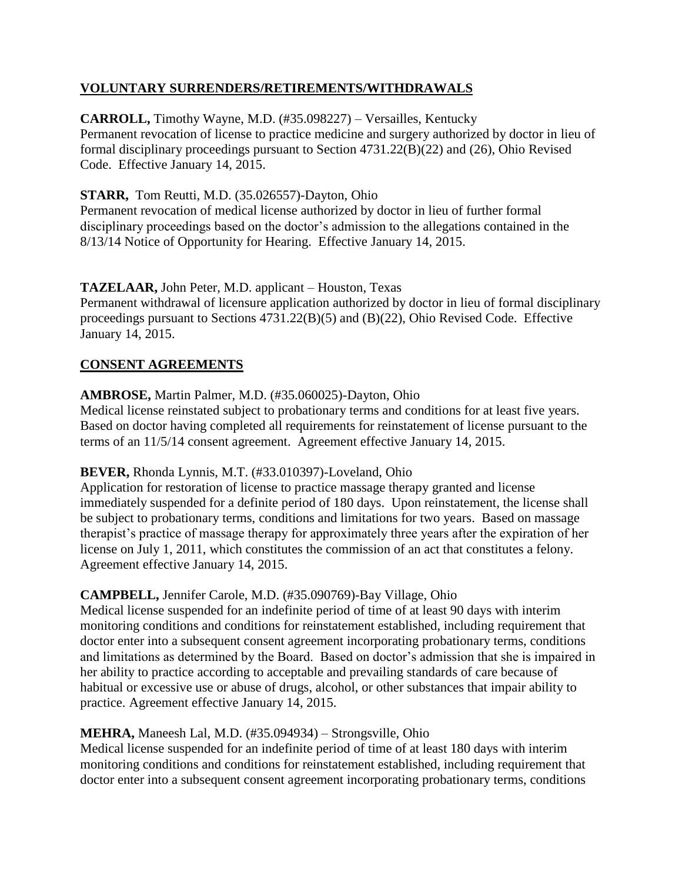## **VOLUNTARY SURRENDERS/RETIREMENTS/WITHDRAWALS**

## **CARROLL,** Timothy Wayne, M.D. (#35.098227) – Versailles, Kentucky

Permanent revocation of license to practice medicine and surgery authorized by doctor in lieu of formal disciplinary proceedings pursuant to Section 4731.22(B)(22) and (26), Ohio Revised Code. Effective January 14, 2015.

### **STARR,** Tom Reutti, M.D. (35.026557)-Dayton, Ohio

Permanent revocation of medical license authorized by doctor in lieu of further formal disciplinary proceedings based on the doctor's admission to the allegations contained in the 8/13/14 Notice of Opportunity for Hearing. Effective January 14, 2015.

### **TAZELAAR,** John Peter, M.D. applicant – Houston, Texas

Permanent withdrawal of licensure application authorized by doctor in lieu of formal disciplinary proceedings pursuant to Sections 4731.22(B)(5) and (B)(22), Ohio Revised Code. Effective January 14, 2015.

## **CONSENT AGREEMENTS**

## **AMBROSE,** Martin Palmer, M.D. (#35.060025)-Dayton, Ohio

Medical license reinstated subject to probationary terms and conditions for at least five years. Based on doctor having completed all requirements for reinstatement of license pursuant to the terms of an 11/5/14 consent agreement. Agreement effective January 14, 2015.

### **BEVER,** Rhonda Lynnis, M.T. (#33.010397)-Loveland, Ohio

Application for restoration of license to practice massage therapy granted and license immediately suspended for a definite period of 180 days. Upon reinstatement, the license shall be subject to probationary terms, conditions and limitations for two years. Based on massage therapist's practice of massage therapy for approximately three years after the expiration of her license on July 1, 2011, which constitutes the commission of an act that constitutes a felony. Agreement effective January 14, 2015.

### **CAMPBELL,** Jennifer Carole, M.D. (#35.090769)-Bay Village, Ohio

Medical license suspended for an indefinite period of time of at least 90 days with interim monitoring conditions and conditions for reinstatement established, including requirement that doctor enter into a subsequent consent agreement incorporating probationary terms, conditions and limitations as determined by the Board. Based on doctor's admission that she is impaired in her ability to practice according to acceptable and prevailing standards of care because of habitual or excessive use or abuse of drugs, alcohol, or other substances that impair ability to practice. Agreement effective January 14, 2015.

# **MEHRA,** Maneesh Lal, M.D. (#35.094934) – Strongsville, Ohio

Medical license suspended for an indefinite period of time of at least 180 days with interim monitoring conditions and conditions for reinstatement established, including requirement that doctor enter into a subsequent consent agreement incorporating probationary terms, conditions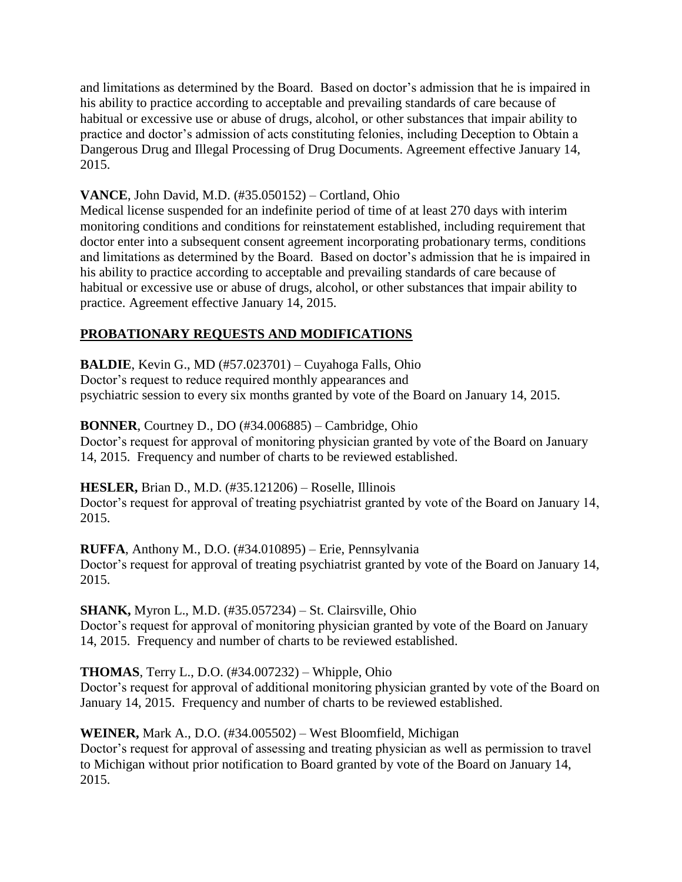and limitations as determined by the Board. Based on doctor's admission that he is impaired in his ability to practice according to acceptable and prevailing standards of care because of habitual or excessive use or abuse of drugs, alcohol, or other substances that impair ability to practice and doctor's admission of acts constituting felonies, including Deception to Obtain a Dangerous Drug and Illegal Processing of Drug Documents. Agreement effective January 14, 2015.

## **VANCE**, John David, M.D. (#35.050152) – Cortland, Ohio

Medical license suspended for an indefinite period of time of at least 270 days with interim monitoring conditions and conditions for reinstatement established, including requirement that doctor enter into a subsequent consent agreement incorporating probationary terms, conditions and limitations as determined by the Board. Based on doctor's admission that he is impaired in his ability to practice according to acceptable and prevailing standards of care because of habitual or excessive use or abuse of drugs, alcohol, or other substances that impair ability to practice. Agreement effective January 14, 2015.

# **PROBATIONARY REQUESTS AND MODIFICATIONS**

**BALDIE**, Kevin G., MD (#57.023701) – Cuyahoga Falls, Ohio Doctor's request to reduce required monthly appearances and

psychiatric session to every six months granted by vote of the Board on January 14, 2015.

# **BONNER**, Courtney D., DO (#34.006885) – Cambridge, Ohio

Doctor's request for approval of monitoring physician granted by vote of the Board on January 14, 2015. Frequency and number of charts to be reviewed established.

### **HESLER,** Brian D., M.D. (#35.121206) – Roselle, Illinois

Doctor's request for approval of treating psychiatrist granted by vote of the Board on January 14, 2015.

**RUFFA**, Anthony M., D.O. (#34.010895) – Erie, Pennsylvania Doctor's request for approval of treating psychiatrist granted by vote of the Board on January 14, 2015.

### **SHANK,** Myron L., M.D. (#35.057234) – St. Clairsville, Ohio

Doctor's request for approval of monitoring physician granted by vote of the Board on January 14, 2015. Frequency and number of charts to be reviewed established.

# **THOMAS**, Terry L., D.O. (#34.007232) – Whipple, Ohio

Doctor's request for approval of additional monitoring physician granted by vote of the Board on January 14, 2015. Frequency and number of charts to be reviewed established.

# **WEINER,** Mark A., D.O. (#34.005502) – West Bloomfield, Michigan

Doctor's request for approval of assessing and treating physician as well as permission to travel to Michigan without prior notification to Board granted by vote of the Board on January 14, 2015.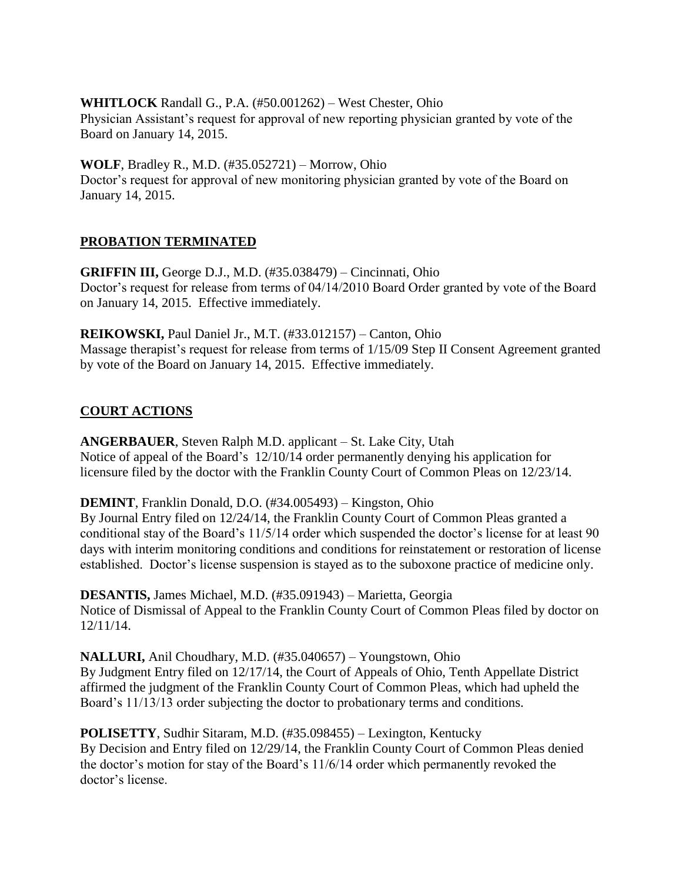**WHITLOCK** Randall G., P.A. (#50.001262) – West Chester, Ohio Physician Assistant's request for approval of new reporting physician granted by vote of the Board on January 14, 2015.

**WOLF**, Bradley R., M.D. (#35.052721) – Morrow, Ohio Doctor's request for approval of new monitoring physician granted by vote of the Board on January 14, 2015.

## **PROBATION TERMINATED**

**GRIFFIN III,** George D.J., M.D. (#35.038479) – Cincinnati, Ohio Doctor's request for release from terms of 04/14/2010 Board Order granted by vote of the Board on January 14, 2015. Effective immediately.

**REIKOWSKI,** Paul Daniel Jr., M.T. (#33.012157) – Canton, Ohio Massage therapist's request for release from terms of 1/15/09 Step II Consent Agreement granted by vote of the Board on January 14, 2015. Effective immediately.

## **COURT ACTIONS**

**ANGERBAUER**, Steven Ralph M.D. applicant – St. Lake City, Utah Notice of appeal of the Board's 12/10/14 order permanently denying his application for licensure filed by the doctor with the Franklin County Court of Common Pleas on 12/23/14.

**DEMINT**, Franklin Donald, D.O. (#34.005493) – Kingston, Ohio

By Journal Entry filed on 12/24/14, the Franklin County Court of Common Pleas granted a conditional stay of the Board's 11/5/14 order which suspended the doctor's license for at least 90 days with interim monitoring conditions and conditions for reinstatement or restoration of license established. Doctor's license suspension is stayed as to the suboxone practice of medicine only.

**DESANTIS,** James Michael, M.D. (#35.091943) – Marietta, Georgia Notice of Dismissal of Appeal to the Franklin County Court of Common Pleas filed by doctor on 12/11/14.

**NALLURI,** Anil Choudhary, M.D. (#35.040657) – Youngstown, Ohio By Judgment Entry filed on 12/17/14, the Court of Appeals of Ohio, Tenth Appellate District affirmed the judgment of the Franklin County Court of Common Pleas, which had upheld the Board's 11/13/13 order subjecting the doctor to probationary terms and conditions.

**POLISETTY**, Sudhir Sitaram, M.D. (#35.098455) – Lexington, Kentucky By Decision and Entry filed on 12/29/14, the Franklin County Court of Common Pleas denied the doctor's motion for stay of the Board's 11/6/14 order which permanently revoked the doctor's license.